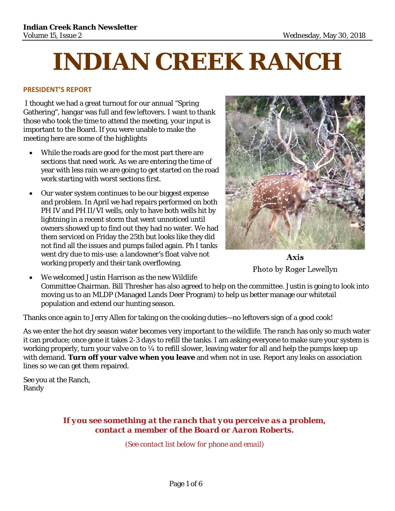# **INDIAN CREEK RANCH**

#### **PRESIDENT'S REPORT**

 I thought we had a great turnout for our annual "Spring Gathering", hangar was full and few leftovers. I want to thank those who took the time to attend the meeting, your input is important to the Board. If you were unable to make the meeting here are some of the highlights

- While the roads are good for the most part there are sections that need work. As we are entering the time of year with less rain we are going to get started on the road work starting with worst sections first.
- Our water system continues to be our biggest expense and problem. In April we had repairs performed on both PH IV and PH II/VI wells, only to have both wells hit by lightning in a recent storm that went unnoticed until owners showed up to find out they had no water. We had them serviced on Friday the 25th but looks like they did not find all the issues and pumps failed again. Ph I tanks went dry due to mis-use: a landowner's float valve not working properly and their tank overflowing.



Axis Photo by Roger Lewellyn

 We welcomed Justin Harrison as the new Wildlife Committee Chairman. Bill Thresher has also agreed to help on the committee. Justin is going to look into moving us to an MLDP (Managed Lands Deer Program) to help us better manage our whitetail population and extend our hunting season.

Thanks once again to Jerry Allen for taking on the cooking duties—no leftovers sign of a good cook!

As we enter the hot dry season water becomes very important to the wildlife. The ranch has only so much water it can produce; once gone it takes 2-3 days to refill the tanks. I am asking everyone to make sure your system is working properly, turn your valve on to  $\frac{1}{4}$  to refill slower, leaving water for all and help the pumps keep up with demand. **Turn off your valve when you leave** and when not in use. Report any leaks on association lines so we can get them repaired.

See you at the Ranch, Randy

# *If you see something at the ranch that you perceive as a problem, contact a member of the Board or Aaron Roberts.*

*(See contact list below for phone and email)*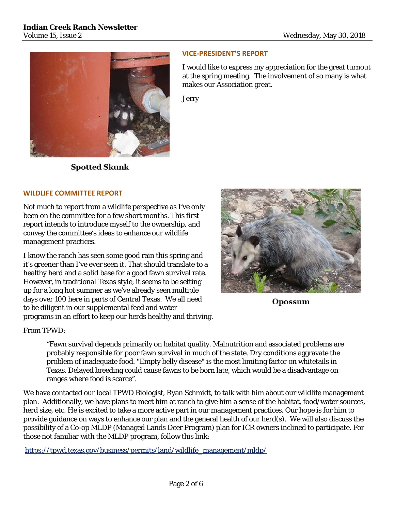

**Spotted Skunk** 

#### **VICE‐PRESIDENT'S REPORT**

I would like to express my appreciation for the great turnout at the spring meeting. The involvement of so many is what makes our Association great.

Jerry



Not much to report from a wildlife perspective as I've only been on the committee for a few short months. This first report intends to introduce myself to the ownership, and convey the committee's ideas to enhance our wildlife management practices.

I know the ranch has seen some good rain this spring and it's greener than I've ever seen it. That should translate to a healthy herd and a solid base for a good fawn survival rate. However, in traditional Texas style, it seems to be setting up for a long hot summer as we've already seen multiple days over 100 here in parts of Central Texas. We all need to be diligent in our supplemental feed and water programs in an effort to keep our herds healthy and thriving.



Opossum

From TPWD:

"Fawn survival depends primarily on habitat quality. Malnutrition and associated problems are probably responsible for poor fawn survival in much of the state. Dry conditions aggravate the problem of inadequate food. "Empty belly disease" is the most limiting factor on whitetails in Texas. Delayed breeding could cause fawns to be born late, which would be a disadvantage on ranges where food is scarce".

We have contacted our local TPWD Biologist, Ryan Schmidt, to talk with him about our wildlife management plan. Additionally, we have plans to meet him at ranch to give him a sense of the habitat, food/water sources, herd size, etc. He is excited to take a more active part in our management practices. Our hope is for him to provide guidance on ways to enhance our plan and the general health of our herd(s). We will also discuss the possibility of a Co-op MLDP (Managed Lands Deer Program) plan for ICR owners inclined to participate. For those not familiar with the MLDP program, follow this link:

https://tpwd.texas.gov/business/permits/land/wildlife\_management/mldp/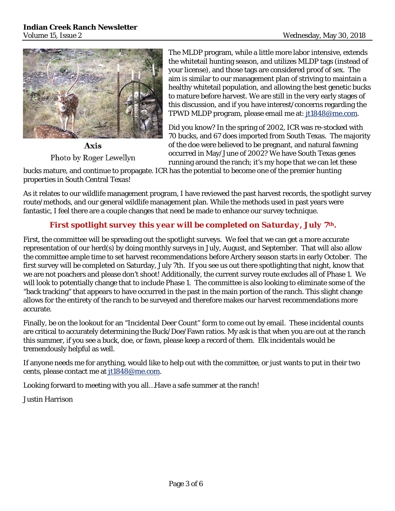

Axis Photo by Roger Lewellyn

The MLDP program, while a little more labor intensive, extends the whitetail hunting season, and utilizes MLDP tags (instead of your license), and those tags are considered proof of sex. The aim is similar to our management plan of striving to maintain a healthy whitetail population, and allowing the best genetic bucks to mature before harvest. We are still in the very early stages of this discussion, and if you have interest/concerns regarding the TPWD MLDP program, please email me at: jt1848@me.com.

Did you know? In the spring of 2002, ICR was re-stocked with 70 bucks, and 67 does imported from South Texas. The majority of the doe were believed to be pregnant, and natural fawning occurred in May/June of 2002? We have South Texas genes running around the ranch; it's my hope that we can let these

bucks mature, and continue to propagate. ICR has the potential to become one of the premier hunting properties in South Central Texas!

As it relates to our wildlife management program, I have reviewed the past harvest records, the spotlight survey route/methods, and our general wildlife management plan. While the methods used in past years were fantastic, I feel there are a couple changes that need be made to enhance our survey technique.

# *First spotlight survey this year will be completed on Saturday, July 7th.*

First, the committee will be spreading out the spotlight surveys. We feel that we can get a more accurate representation of our herd(s) by doing monthly surveys in July, August, and September. That will also allow the committee ample time to set harvest recommendations before Archery season starts in early October. The first survey will be completed on Saturday, July 7th. If you see us out there spotlighting that night, know that we are not poachers and please don't shoot! Additionally, the current survey route excludes all of Phase 1. We will look to potentially change that to include Phase 1. The committee is also looking to eliminate some of the "back tracking" that appears to have occurred in the past in the main portion of the ranch. This slight change allows for the entirety of the ranch to be surveyed and therefore makes our harvest recommendations more accurate.

Finally, be on the lookout for an "Incidental Deer Count" form to come out by email. These incidental counts are critical to accurately determining the Buck/Doe/Fawn ratios. My ask is that when you are out at the ranch this summer, if you see a buck, doe, or fawn, please keep a record of them. Elk incidentals would be tremendously helpful as well.

If anyone needs me for anything, would like to help out with the committee, or just wants to put in their two cents, please contact me at jt1848@me.com.

Looking forward to meeting with you all…Have a safe summer at the ranch!

Justin Harrison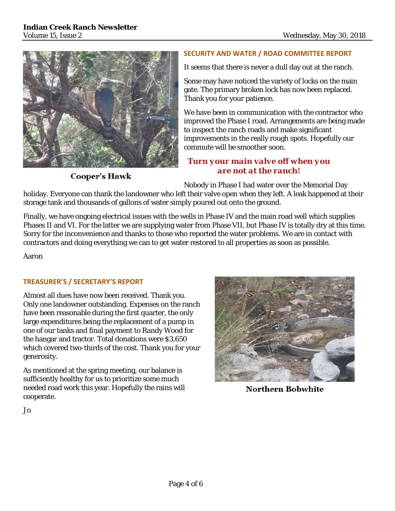

**Cooper's Hawk** 

#### **SECURITY AND WATER / ROAD COMMITTEE REPORT**

It seems that there is never a dull day out at the ranch.

Some may have noticed the variety of locks on the main gate. The primary broken lock has now been replaced. Thank you for your patience.

We have been in communication with the contractor who improved the Phase I road. Arrangements are being made to inspect the ranch roads and make significant improvements in the really rough spots. Hopefully our commute will be smoother soon.

# *Turn your main valve off when you are not at the ranch!*

Nobody in Phase I had water over the Memorial Day

holiday. Everyone can thank the landowner who left their valve open when they left. A leak happened at their storage tank and thousands of gallons of water simply poured out onto the ground.

Finally, we have ongoing electrical issues with the wells in Phase IV and the main road well which supplies Phases II and VI. For the latter we are supplying water from Phase VII, but Phase IV is totally dry at this time. Sorry for the inconvenience and thanks to those who reported the water problems. We are in contact with contractors and doing everything we can to get water restored to all properties as soon as possible.

Aaron

## **TREASURER'S / SECRETARY'S REPORT**

Almost all dues have now been received. Thank you. Only one landowner outstanding. Expenses on the ranch have been reasonable during the first quarter, the only large expenditures being the replacement of a pump in one of our tanks and final payment to Randy Wood for the hangar and tractor. Total donations were \$3,650 which covered two-thirds of the cost. Thank you for your generosity.

As mentioned at the spring meeting, our balance is sufficiently healthy for us to prioritize some much needed road work this year. Hopefully the rains will cooperate.



**Northern Bobwhite** 

Jo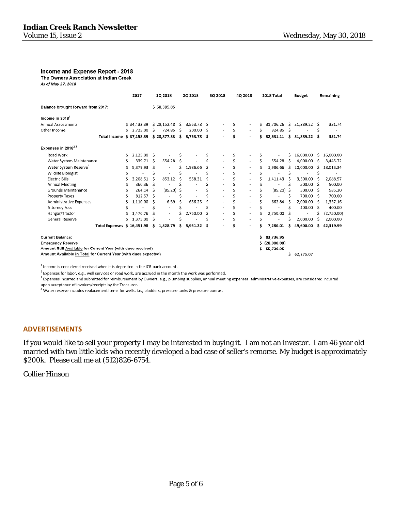#### Income and Expense Report - 2018

The Owners Association at Indian Creek

As of May 27, 2018

|                                                                 |                             |    | 2017        |      | 1Q 2018      |     | 2Q 2018     |    | 3Q 2018                  |     | 4Q 2018 |    | 2018 Total   |    | <b>Budget</b> |    | Remaining  |
|-----------------------------------------------------------------|-----------------------------|----|-------------|------|--------------|-----|-------------|----|--------------------------|-----|---------|----|--------------|----|---------------|----|------------|
| Balance brought forward from 2017:                              |                             |    |             |      | \$58.385.85  |     |             |    |                          |     |         |    |              |    |               |    |            |
| Income in $20181$                                               |                             |    |             |      |              |     |             |    |                          |     |         |    |              |    |               |    |            |
| <b>Annual Assessments</b>                                       |                             |    | \$34,433.39 |      | \$28,152.48  | -Ś  | 3.553.78    | Ŝ  |                          |     |         | S  | 31,706.26    | Ŝ  | 31.889.22 S   |    | 331.74     |
| Other Income                                                    |                             | Ś. | 2.725.00    | -Ŝ   | 724.85       | - Ś | 200.00      | -S | $\blacksquare$           | \$  | $\sim$  | Ś. | 924.85       | Ś  |               | Ś  |            |
|                                                                 | Total Income \$ 37,158.39   |    |             |      | \$28.877.33  | Ŝ   | 3,753.78 \$ |    |                          | \$  |         | Ś  | 32,631.11    | s  | 31,889.22 \$  |    | 331.74     |
| Expenses in $2018^{2,3}$                                        |                             |    |             |      |              |     |             |    |                          |     |         |    |              |    |               |    |            |
| Road Work                                                       |                             | Ś  | 2.125.00    | - \$ |              | S   |             | \$ |                          |     |         | Ś  |              | Ś  | 16.000.00     | Ś  | 16,000.00  |
| Water System Maintenance                                        |                             | Ś  | 339.71      | -S   | 554.28       | Ŝ   |             | Ś  |                          | \$. |         | Ś  | 554.28       | Ŝ  | 4.000.00      | S  | 3,445.72   |
| Water System Reserve <sup>4</sup>                               |                             | Ś  | 5,379.93    | -\$  |              | Ś   | 1,986.66    | S  |                          |     |         | \$ | 1,986.66     | Ŝ  | 20,000.00     | .S | 18,013.34  |
| Wildlife Biologist                                              |                             |    |             | Ś    |              |     |             |    | $\overline{\phantom{a}}$ | Ś   | ۰       |    |              |    |               | Ś  |            |
| <b>Electric Bills</b>                                           |                             |    | 3,208.51    | Ś    | 853.12       | -S  | 558.31      | S  |                          |     |         |    | 1,411.43     |    | 3,500.00      | -S | 2,088.57   |
| <b>Annual Meeting</b>                                           |                             |    | 360.36 S    |      |              | Ŝ   |             |    | ٠                        |     |         |    |              |    | 500.00        | S  | 500.00     |
| Grounds Maintenance                                             |                             |    | 264.14      | -Ś   | $(85.20)$ \$ |     |             |    | ÷.                       |     |         |    | $(85.20)$ \$ |    | 500.00        | -S | 585.20     |
| <b>Property Taxes</b>                                           |                             |    | 812.57      | - \$ |              | Ś   |             |    |                          |     |         |    |              | Š. | 700.00        | -Ś | 700.00     |
| <b>Administrative Expenses</b>                                  |                             |    | 1,110.00    | Ŝ    | 6.59         | Ŝ   | 656.25      | Ś  | ÷,                       | Ś   |         |    | 662.84       | .S | 2,000.00      | -S | 1,337.16   |
| <b>Attorney Fees</b>                                            |                             |    |             |      |              |     |             |    |                          |     |         |    |              | Ś  | 400.00        | -S | 400.00     |
| Hangar/Tractor                                                  |                             |    | 1,476.76    | Ś    | ٠            |     | 2,750.00    | Ŝ  | ٠                        | \$  |         |    | 2,750.00     |    |               | S  | (2,750.00) |
| <b>General Reserve</b>                                          |                             | Ś  | 1,375.00    | Ŝ    |              |     |             |    |                          | Ś   |         |    |              |    | 2,000.00      | S  | 2,000.00   |
|                                                                 | Total Expenses \$ 16,451.98 |    |             | \$   | 1,328.79     |     | 5,951.22    | Ś  |                          | Ś   |         |    | 7,280.01     | Ś  | 49.600.00     | Ś  | 42,319.99  |
| <b>Current Balance:</b>                                         |                             |    |             |      |              |     |             |    |                          |     |         |    | 83.736.95    |    |               |    |            |
| <b>Emergency Reserve</b>                                        |                             |    |             |      |              |     |             |    |                          |     |         |    | (28,000.00)  |    |               |    |            |
| Amount Still Available for Current Year (with dues received)    |                             |    |             |      |              |     |             |    |                          |     |         | Ś. | 55,736.95    |    |               |    |            |
| Amount Available in Total for Current Year (with dues expected) |                             |    |             |      |              |     |             |    |                          |     |         |    |              | \$ | 62,275.07     |    |            |

 $^{-1}$  Income is considered received when it is deposited in the ICR bank account.

 $2$  Expenses for labor, e.g., well services or road work, are accrued in the month the work was performed.

<sup>3</sup> Expenses incurred and submitted for reimbursement by Owners, e.g., plumbing supplies, annual meeting expenses, administrative expenses, are considered incurred upon acceptance of invoices/receipts by the Treasurer.

 $4$  Water reserve includes replacement items for wells, i.e., bladders, pressure tanks & pressure pumps.

#### **ADVERTISEMENTS**

If you would like to sell your property I may be interested in buying it. I am not an investor. I am 46 year old married with two little kids who recently developed a bad case of seller's remorse. My budget is approximately \$200k. Please call me at (512)826-6754.

Collier Hinson